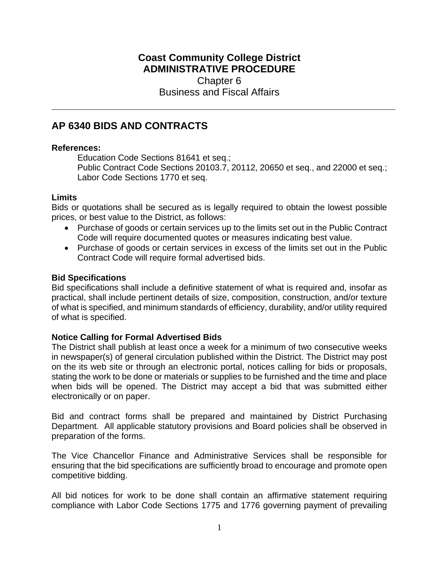# **Coast Community College District ADMINISTRATIVE PROCEDURE** Chapter 6 Business and Fiscal Affairs

# **AP 6340 BIDS AND CONTRACTS**

## **References:**

Education Code Sections 81641 et seq.; Public Contract Code Sections 20103.7, 20112, 20650 et seq., and 22000 et seq.; Labor Code Sections 1770 et seq.

#### **Limits**

Bids or quotations shall be secured as is legally required to obtain the lowest possible prices, or best value to the District, as follows:

- Purchase of goods or certain services up to the limits set out in the Public Contract Code will require documented quotes or measures indicating best value.
- Purchase of goods or certain services in excess of the limits set out in the Public Contract Code will require formal advertised bids.

# **Bid Specifications**

Bid specifications shall include a definitive statement of what is required and, insofar as practical, shall include pertinent details of size, composition, construction, and/or texture of what is specified, and minimum standards of efficiency, durability, and/or utility required of what is specified.

# **Notice Calling for Formal Advertised Bids**

The District shall publish at least once a week for a minimum of two consecutive weeks in newspaper(s) of general circulation published within the District. The District may post on the its web site or through an electronic portal, notices calling for bids or proposals, stating the work to be done or materials or supplies to be furnished and the time and place when bids will be opened. The District may accept a bid that was submitted either electronically or on paper.

Bid and contract forms shall be prepared and maintained by District Purchasing Department*.* All applicable statutory provisions and Board policies shall be observed in preparation of the forms.

The Vice Chancellor Finance and Administrative Services shall be responsible for ensuring that the bid specifications are sufficiently broad to encourage and promote open competitive bidding.

All bid notices for work to be done shall contain an affirmative statement requiring compliance with Labor Code Sections 1775 and 1776 governing payment of prevailing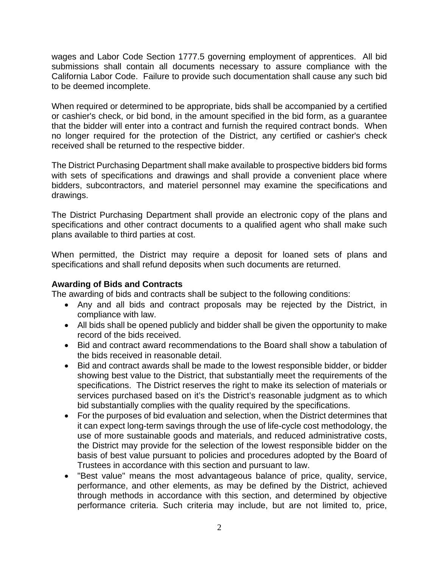wages and Labor Code Section 1777.5 governing employment of apprentices. All bid submissions shall contain all documents necessary to assure compliance with the California Labor Code. Failure to provide such documentation shall cause any such bid to be deemed incomplete.

When required or determined to be appropriate, bids shall be accompanied by a certified or cashier's check, or bid bond, in the amount specified in the bid form, as a guarantee that the bidder will enter into a contract and furnish the required contract bonds. When no longer required for the protection of the District, any certified or cashier's check received shall be returned to the respective bidder.

The District Purchasing Department shall make available to prospective bidders bid forms with sets of specifications and drawings and shall provide a convenient place where bidders, subcontractors, and materiel personnel may examine the specifications and drawings.

The District Purchasing Department shall provide an electronic copy of the plans and specifications and other contract documents to a qualified agent who shall make such plans available to third parties at cost.

When permitted, the District may require a deposit for loaned sets of plans and specifications and shall refund deposits when such documents are returned.

# **Awarding of Bids and Contracts**

The awarding of bids and contracts shall be subject to the following conditions:

- Any and all bids and contract proposals may be rejected by the District, in compliance with law.
- All bids shall be opened publicly and bidder shall be given the opportunity to make record of the bids received.
- Bid and contract award recommendations to the Board shall show a tabulation of the bids received in reasonable detail.
- Bid and contract awards shall be made to the lowest responsible bidder, or bidder showing best value to the District, that substantially meet the requirements of the specifications. The District reserves the right to make its selection of materials or services purchased based on it's the District's reasonable judgment as to which bid substantially complies with the quality required by the specifications.
- For the purposes of bid evaluation and selection, when the District determines that it can expect long-term savings through the use of life-cycle cost methodology, the use of more sustainable goods and materials, and reduced administrative costs, the District may provide for the selection of the lowest responsible bidder on the basis of best value pursuant to policies and procedures adopted by the Board of Trustees in accordance with this section and pursuant to law.
- "Best value" means the most advantageous balance of price, quality, service, performance, and other elements, as may be defined by the District, achieved through methods in accordance with this section, and determined by objective performance criteria. Such criteria may include, but are not limited to, price,